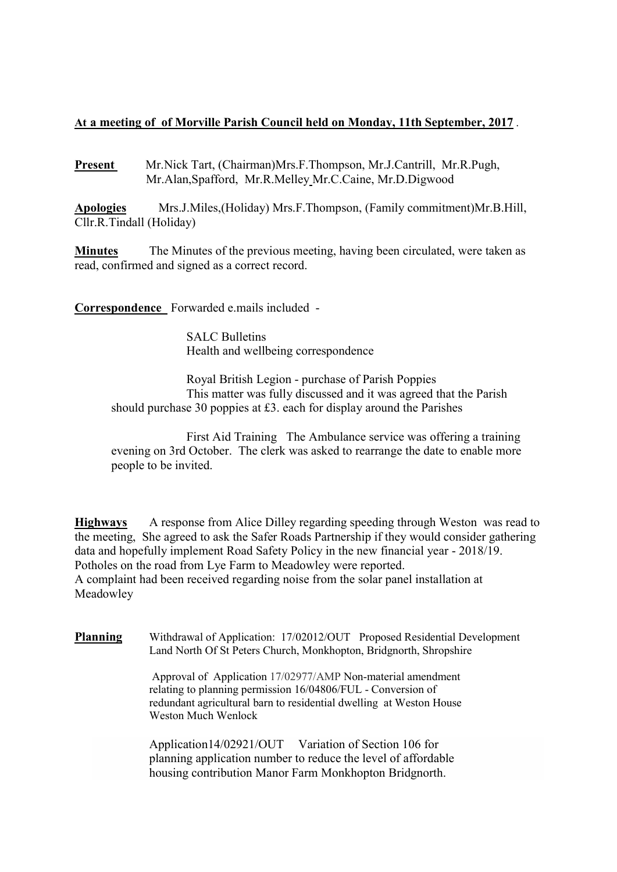## At a meeting of of Morville Parish Council held on Monday, 11th September, 2017 .

Present Mr.Nick Tart, (Chairman)Mrs.F.Thompson, Mr.J.Cantrill, Mr.R.Pugh, Mr.Alan,Spafford, Mr.R.Melley Mr.C.Caine, Mr.D.Digwood

Apologies Mrs.J.Miles,(Holiday) Mrs.F.Thompson, (Family commitment)Mr.B.Hill, Cllr.R.Tindall (Holiday)

Minutes The Minutes of the previous meeting, having been circulated, were taken as read, confirmed and signed as a correct record.

Correspondence Forwarded e.mails included -

 SALC Bulletins Health and wellbeing correspondence

 Royal British Legion - purchase of Parish Poppies This matter was fully discussed and it was agreed that the Parish should purchase 30 poppies at £3. each for display around the Parishes

 First Aid Training The Ambulance service was offering a training evening on 3rd October. The clerk was asked to rearrange the date to enable more people to be invited.

Highways A response from Alice Dilley regarding speeding through Weston was read to the meeting, She agreed to ask the Safer Roads Partnership if they would consider gathering data and hopefully implement Road Safety Policy in the new financial year - 2018/19. Potholes on the road from Lye Farm to Meadowley were reported. A complaint had been received regarding noise from the solar panel installation at Meadowley

Planning Withdrawal of Application: 17/02012/OUT Proposed Residential Development Land North Of St Peters Church, Monkhopton, Bridgnorth, Shropshire

> Approval of Application 17/02977/AMP Non-material amendment relating to planning permission 16/04806/FUL - Conversion of redundant agricultural barn to residential dwelling at Weston House Weston Much Wenlock

 Application14/02921/OUT Variation of Section 106 for planning application number to reduce the level of affordable housing contribution Manor Farm Monkhopton Bridgnorth.